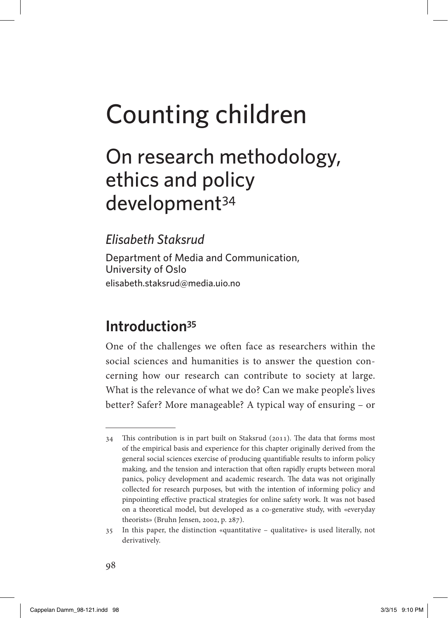## On research methodology, ethics and policy development<sup>34</sup>

*elisabeth staksrud*

Department of Media and Communication, University of Oslo [elisabeth.staksrud@media.uio.no](mailto:elisabeth.staksrud@media.uio.no)

### **Introduction<sup>35</sup>**

One of the challenges we often face as researchers within the social sciences and humanities is to answer the question concerning how our research can contribute to society at large. What is the relevance of what we do? Can we make people's lives better? Safer? More manageable? A typical way of ensuring – or

<sup>34</sup> This contribution is in part built on Staksrud (2011). The data that forms most of the empirical basis and experience for this chapter originally derived from the general social sciences exercise of producing quantifiable results to inform policy making, and the tension and interaction that often rapidly erupts between moral panics, policy development and academic research. The data was not originally collected for research purposes, but with the intention of informing policy and pinpointing effective practical strategies for online safety work. It was not based on a theoretical model, but developed as a co-generative study, with «everyday theorists» (Bruhn Jensen, 2002, p. 287).

<sup>35</sup> In this paper, the distinction «quantitative – qualitative» is used literally, not derivatively.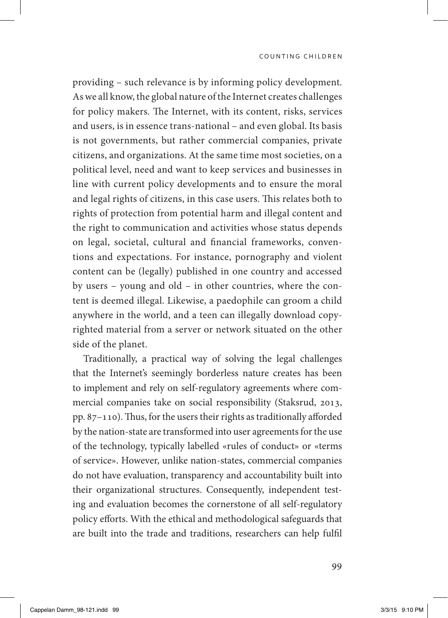providing – such relevance is by informing policy development. As we all know, the global nature of the Internet creates challenges for policy makers. The Internet, with its content, risks, services and users, is in essence trans-national – and even global. Its basis is not governments, but rather commercial companies, private citizens, and organizations. At the same time most societies, on a political level, need and want to keep services and businesses in line with current policy developments and to ensure the moral and legal rights of citizens, in this case users. This relates both to rights of protection from potential harm and illegal content and the right to communication and activities whose status depends on legal, societal, cultural and financial frameworks, conventions and expectations. For instance, pornography and violent content can be (legally) published in one country and accessed by users – young and old – in other countries, where the content is deemed illegal. Likewise, a paedophile can groom a child anywhere in the world, and a teen can illegally download copyrighted material from a server or network situated on the other side of the planet.

Traditionally, a practical way of solving the legal challenges that the Internet's seemingly borderless nature creates has been to implement and rely on self-regulatory agreements where commercial companies take on social responsibility (Staksrud, 2013, pp. 87–110). Thus, for the users their rights as traditionally afforded by the nation-state are transformed into user agreements for the use of the technology, typically labelled «rules of conduct» or «terms of service». However, unlike nation-states, commercial companies do not have evaluation, transparency and accountability built into their organizational structures. Consequently, independent testing and evaluation becomes the cornerstone of all self-regulatory policy efforts. With the ethical and methodological safeguards that are built into the trade and traditions, researchers can help fulfil

99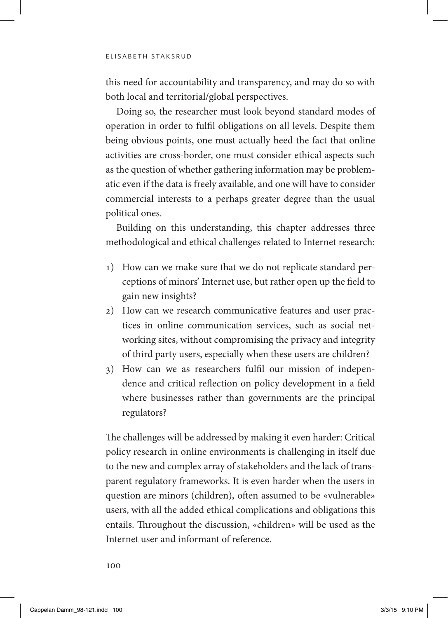this need for accountability and transparency, and may do so with both local and territorial/global perspectives.

Doing so, the researcher must look beyond standard modes of operation in order to fulfil obligations on all levels. Despite them being obvious points, one must actually heed the fact that online activities are cross-border, one must consider ethical aspects such as the question of whether gathering information may be problematic even if the data is freely available, and one will have to consider commercial interests to a perhaps greater degree than the usual political ones.

Building on this understanding, this chapter addresses three methodological and ethical challenges related to Internet research:

- 1) How can we make sure that we do not replicate standard perceptions of minors' Internet use, but rather open up the field to gain new insights?
- 2) How can we research communicative features and user practices in online communication services, such as social networking sites, without compromising the privacy and integrity of third party users, especially when these users are children?
- 3) How can we as researchers fulfil our mission of independence and critical reflection on policy development in a field where businesses rather than governments are the principal regulators?

The challenges will be addressed by making it even harder: Critical policy research in online environments is challenging in itself due to the new and complex array of stakeholders and the lack of transparent regulatory frameworks. It is even harder when the users in question are minors (children), often assumed to be «vulnerable» users, with all the added ethical complications and obligations this entails. Throughout the discussion, «children» will be used as the Internet user and informant of reference.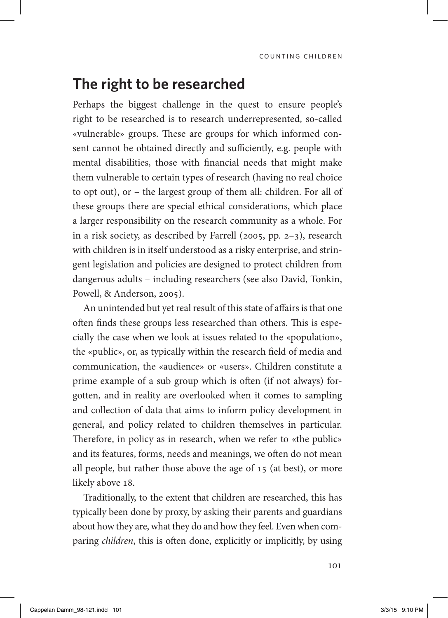#### **The right to be researched**

Perhaps the biggest challenge in the quest to ensure people's right to be researched is to research underrepresented, so-called «vulnerable» groups. These are groups for which informed consent cannot be obtained directly and sufficiently, e.g. people with mental disabilities, those with financial needs that might make them vulnerable to certain types of research (having no real choice to opt out), or – the largest group of them all: children. For all of these groups there are special ethical considerations, which place a larger responsibility on the research community as a whole. For in a risk society, as described by Farrell (2005, pp. 2–3), research with children is in itself understood as a risky enterprise, and stringent legislation and policies are designed to protect children from dangerous adults – including researchers (see also David, Tonkin, Powell, & Anderson, 2005).

An unintended but yet real result of this state of affairs is that one often finds these groups less researched than others. This is especially the case when we look at issues related to the «population», the «public», or, as typically within the research field of media and communication, the «audience» or «users». Children constitute a prime example of a sub group which is often (if not always) forgotten, and in reality are overlooked when it comes to sampling and collection of data that aims to inform policy development in general, and policy related to children themselves in particular. Therefore, in policy as in research, when we refer to «the public» and its features, forms, needs and meanings, we often do not mean all people, but rather those above the age of 15 (at best), or more likely above 18.

Traditionally, to the extent that children are researched, this has typically been done by proxy, by asking their parents and guardians about how they are, what they do and how they feel. Even when comparing *children*, this is often done, explicitly or implicitly, by using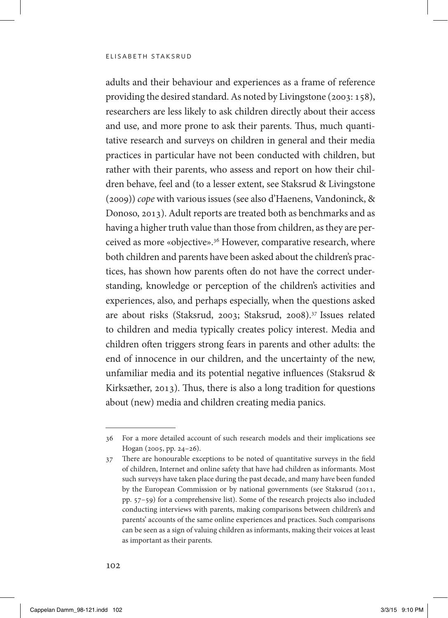#### elisabeth staksrud

adults and their behaviour and experiences as a frame of reference providing the desired standard. As noted by Livingstone (2003: 158), researchers are less likely to ask children directly about their access and use, and more prone to ask their parents. Thus, much quantitative research and surveys on children in general and their media practices in particular have not been conducted with children, but rather with their parents, who assess and report on how their children behave, feel and (to a lesser extent, see Staksrud & Livingstone (2009)) *cope* with various issues (see also d'Haenens, Vandoninck, & Donoso, 2013). Adult reports are treated both as benchmarks and as having a higher truth value than those from children, as they are perceived as more «objective».36 However, comparative research, where both children and parents have been asked about the children's practices, has shown how parents often do not have the correct understanding, knowledge or perception of the children's activities and experiences, also, and perhaps especially, when the questions asked are about risks (Staksrud, 2003; Staksrud, 2008).37 Issues related to children and media typically creates policy interest. Media and children often triggers strong fears in parents and other adults: the end of innocence in our children, and the uncertainty of the new, unfamiliar media and its potential negative influences (Staksrud & Kirksæther, 2013). Thus, there is also a long tradition for questions about (new) media and children creating media panics.

<sup>36</sup> For a more detailed account of such research models and their implications see Hogan (2005, pp. 24–26).

<sup>37</sup> There are honourable exceptions to be noted of quantitative surveys in the field of children, Internet and online safety that have had children as informants. Most such surveys have taken place during the past decade, and many have been funded by the European Commission or by national governments (see Staksrud (2011, pp. 57–59) for a comprehensive list). Some of the research projects also included conducting interviews with parents, making comparisons between children's and parents' accounts of the same online experiences and practices. Such comparisons can be seen as a sign of valuing children as informants, making their voices at least as important as their parents.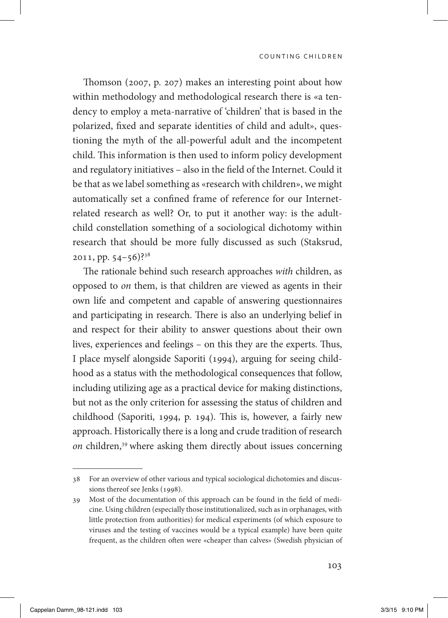Thomson (2007, p. 207) makes an interesting point about how within methodology and methodological research there is «a tendency to employ a meta-narrative of 'children' that is based in the polarized, fixed and separate identities of child and adult», questioning the myth of the all-powerful adult and the incompetent child. This information is then used to inform policy development and regulatory initiatives – also in the field of the Internet. Could it be that as we label something as «research with children», we might automatically set a confined frame of reference for our Internetrelated research as well? Or, to put it another way: is the adultchild constellation something of a sociological dichotomy within research that should be more fully discussed as such (Staksrud, 2011, pp. 54–56)?38

The rationale behind such research approaches *with* children, as opposed to *on* them, is that children are viewed as agents in their own life and competent and capable of answering questionnaires and participating in research. There is also an underlying belief in and respect for their ability to answer questions about their own lives, experiences and feelings – on this they are the experts. Thus, I place myself alongside Saporiti (1994), arguing for seeing childhood as a status with the methodological consequences that follow, including utilizing age as a practical device for making distinctions, but not as the only criterion for assessing the status of children and childhood (Saporiti, 1994, p. 194). This is, however, a fairly new approach. Historically there is a long and crude tradition of research *on* children,<sup>39</sup> where asking them directly about issues concerning

<sup>38</sup> For an overview of other various and typical sociological dichotomies and discussions thereof see Jenks (1998).

<sup>39</sup> Most of the documentation of this approach can be found in the field of medicine. Using children (especially those institutionalized, such as in orphanages, with little protection from authorities) for medical experiments (of which exposure to viruses and the testing of vaccines would be a typical example) have been quite frequent, as the children often were «cheaper than calves» (Swedish physician of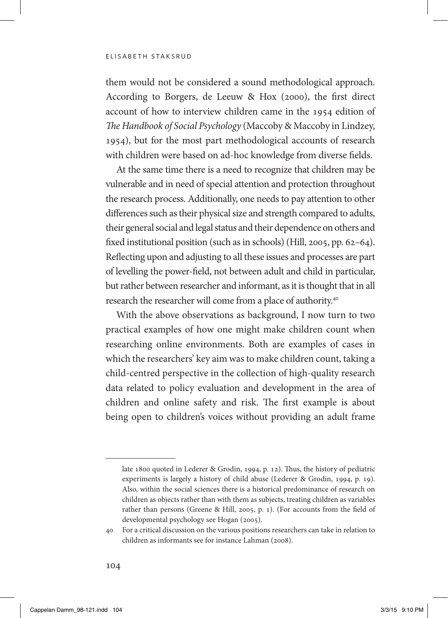#### elisabeth staksrud

them would not be considered a sound methodological approach. According to Borgers, de Leeuw & Hox (2000), the first direct account of how to interview children came in the 1954 edition of *The Handbook of Social Psychology* (Maccoby & Maccoby in Lindzey, 1954), but for the most part methodological accounts of research with children were based on ad-hoc knowledge from diverse fields.

At the same time there is a need to recognize that children may be vulnerable and in need of special attention and protection throughout the research process. Additionally, one needs to pay attention to other differences such as their physical size and strength compared to adults, their general social and legal status and their dependence on others and fixed institutional position (such as in schools) (Hill, 2005, pp. 62–64). Reflecting upon and adjusting to all these issues and processes are part of levelling the power-field, not between adult and child in particular, but rather between researcher and informant, as it is thought that in all research the researcher will come from a place of authority.40

With the above observations as background, I now turn to two practical examples of how one might make children count when researching online environments. Both are examples of cases in which the researchers' key aim was to make children count, taking a child-centred perspective in the collection of high-quality research data related to policy evaluation and development in the area of children and online safety and risk. The first example is about being open to children's voices without providing an adult frame

late 1800 quoted in Lederer & Grodin, 1994, p. 12). Thus, the history of pediatric experiments is largely a history of child abuse (Lederer & Grodin, 1994, p. 19). Also, within the social sciences there is a historical predominance of research on children as objects rather than with them as subjects, treating children as variables rather than persons (Greene & Hill, 2005, p. 1). (For accounts from the field of developmental psychology see Hogan (2005).

<sup>40</sup> For a critical discussion on the various positions researchers can take in relation to children as informants see for instance Lahman (2008).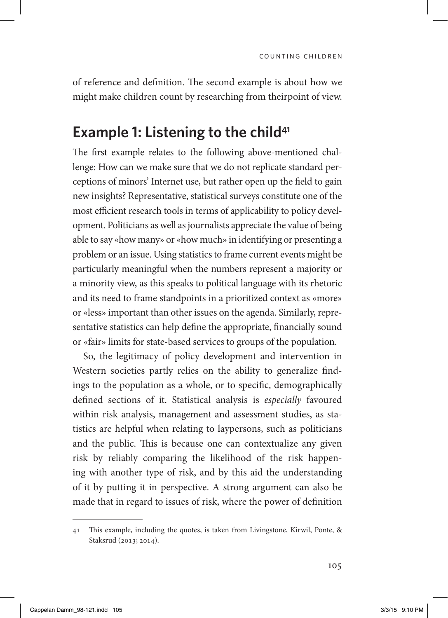of reference and definition. The second example is about how we might make children count by researching from theirpoint of view.

#### **Example 1: Listening to the child<sup>41</sup>**

The first example relates to the following above-mentioned challenge: How can we make sure that we do not replicate standard perceptions of minors' Internet use, but rather open up the field to gain new insights? Representative, statistical surveys constitute one of the most efficient research tools in terms of applicability to policy development. Politicians as well as journalists appreciate the value of being able to say «how many» or «how much» in identifying or presenting a problem or an issue. Using statistics to frame current events might be particularly meaningful when the numbers represent a majority or a minority view, as this speaks to political language with its rhetoric and its need to frame standpoints in a prioritized context as «more» or «less» important than other issues on the agenda. Similarly, representative statistics can help define the appropriate, financially sound or «fair» limits for state-based services to groups of the population.

So, the legitimacy of policy development and intervention in Western societies partly relies on the ability to generalize findings to the population as a whole, or to specific, demographically defined sections of it. Statistical analysis is *especially* favoured within risk analysis, management and assessment studies, as statistics are helpful when relating to laypersons, such as politicians and the public. This is because one can contextualize any given risk by reliably comparing the likelihood of the risk happening with another type of risk, and by this aid the understanding of it by putting it in perspective. A strong argument can also be made that in regard to issues of risk, where the power of definition

<sup>41</sup> This example, including the quotes, is taken from Livingstone, Kirwil, Ponte, & Staksrud (2013; 2014).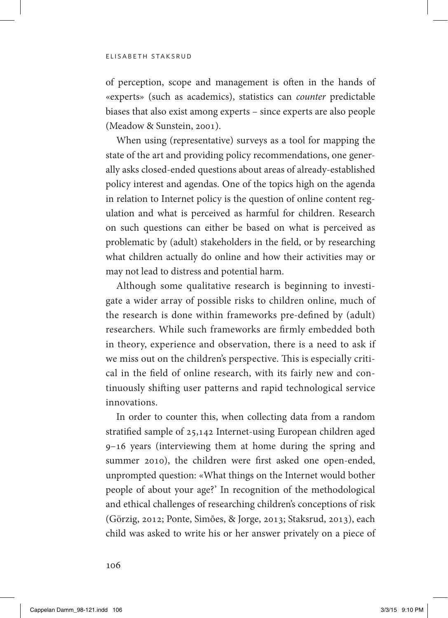#### elisabeth staksrud

of perception, scope and management is often in the hands of «experts» (such as academics), statistics can *counter* predictable biases that also exist among experts – since experts are also people (Meadow & Sunstein, 2001).

When using (representative) surveys as a tool for mapping the state of the art and providing policy recommendations, one generally asks closed-ended questions about areas of already-established policy interest and agendas. One of the topics high on the agenda in relation to Internet policy is the question of online content regulation and what is perceived as harmful for children. Research on such questions can either be based on what is perceived as problematic by (adult) stakeholders in the field, or by researching what children actually do online and how their activities may or may not lead to distress and potential harm.

Although some qualitative research is beginning to investigate a wider array of possible risks to children online, much of the research is done within frameworks pre-defined by (adult) researchers. While such frameworks are firmly embedded both in theory, experience and observation, there is a need to ask if we miss out on the children's perspective. This is especially critical in the field of online research, with its fairly new and continuously shifting user patterns and rapid technological service innovations.

In order to counter this, when collecting data from a random stratified sample of 25,142 Internet-using European children aged 9–16 years (interviewing them at home during the spring and summer 2010), the children were first asked one open-ended, unprompted question: «What things on the Internet would bother people of about your age?' In recognition of the methodological and ethical challenges of researching children's conceptions of risk (Görzig, 2012; Ponte, Simões, & Jorge, 2013; Staksrud, 2013), each child was asked to write his or her answer privately on a piece of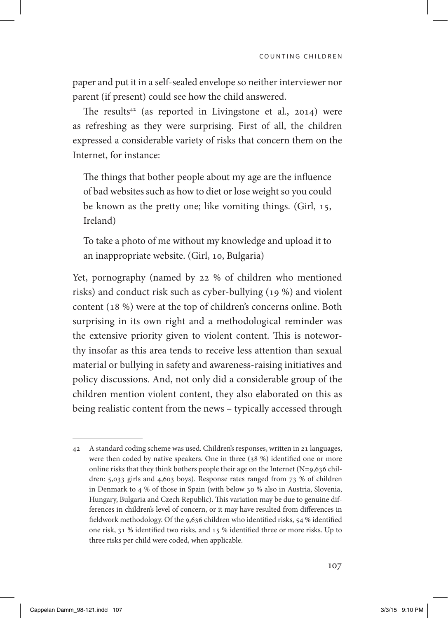paper and put it in a self-sealed envelope so neither interviewer nor parent (if present) could see how the child answered.

The results<sup>42</sup> (as reported in Livingstone et al., 2014) were as refreshing as they were surprising. First of all, the children expressed a considerable variety of risks that concern them on the Internet, for instance:

The things that bother people about my age are the influence of bad websites such as how to diet or lose weight so you could be known as the pretty one; like vomiting things. (Girl, 15, Ireland)

To take a photo of me without my knowledge and upload it to an inappropriate website. (Girl, 10, Bulgaria)

Yet, pornography (named by 22 % of children who mentioned risks) and conduct risk such as cyber-bullying (19 %) and violent content (18 %) were at the top of children's concerns online. Both surprising in its own right and a methodological reminder was the extensive priority given to violent content. This is noteworthy insofar as this area tends to receive less attention than sexual material or bullying in safety and awareness-raising initiatives and policy discussions. And, not only did a considerable group of the children mention violent content, they also elaborated on this as being realistic content from the news – typically accessed through

<sup>42</sup> A standard coding scheme was used. Children's responses, written in 21 languages, were then coded by native speakers. One in three (38 %) identified one or more online risks that they think bothers people their age on the Internet (N=9,636 children: 5,033 girls and 4,603 boys). Response rates ranged from 73 % of children in Denmark to 4 % of those in Spain (with below 30 % also in Austria, Slovenia, Hungary, Bulgaria and Czech Republic). This variation may be due to genuine differences in children's level of concern, or it may have resulted from differences in fieldwork methodology. Of the 9,636 children who identified risks, 54 % identified one risk, 31 % identified two risks, and 15 % identified three or more risks. Up to three risks per child were coded, when applicable.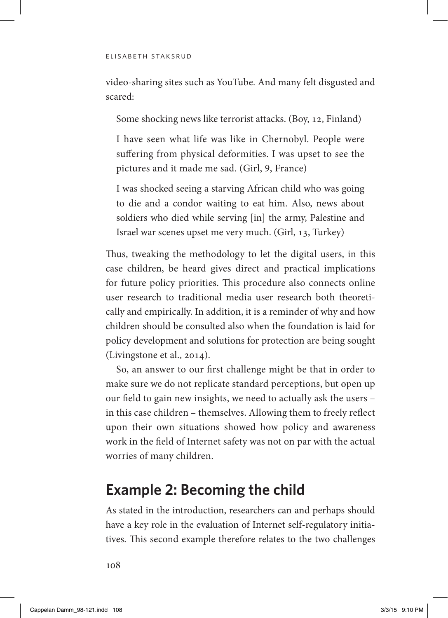video-sharing sites such as YouTube. And many felt disgusted and scared:

Some shocking news like terrorist attacks. (Boy, 12, Finland)

I have seen what life was like in Chernobyl. People were suffering from physical deformities. I was upset to see the pictures and it made me sad. (Girl, 9, France)

I was shocked seeing a starving African child who was going to die and a condor waiting to eat him. Also, news about soldiers who died while serving [in] the army, Palestine and Israel war scenes upset me very much. (Girl, 13, Turkey)

Thus, tweaking the methodology to let the digital users, in this case children, be heard gives direct and practical implications for future policy priorities. This procedure also connects online user research to traditional media user research both theoretically and empirically. In addition, it is a reminder of why and how children should be consulted also when the foundation is laid for policy development and solutions for protection are being sought (Livingstone et al., 2014).

So, an answer to our first challenge might be that in order to make sure we do not replicate standard perceptions, but open up our field to gain new insights, we need to actually ask the users – in this case children – themselves. Allowing them to freely reflect upon their own situations showed how policy and awareness work in the field of Internet safety was not on par with the actual worries of many children.

## **Example 2: Becoming the child**

As stated in the introduction, researchers can and perhaps should have a key role in the evaluation of Internet self-regulatory initiatives. This second example therefore relates to the two challenges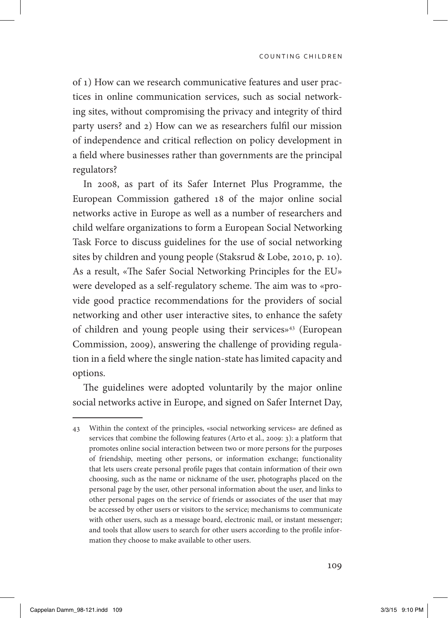of 1) How can we research communicative features and user practices in online communication services, such as social networking sites, without compromising the privacy and integrity of third party users? and 2) How can we as researchers fulfil our mission of independence and critical reflection on policy development in a field where businesses rather than governments are the principal regulators?

In 2008, as part of its Safer Internet Plus Programme, the European Commission gathered 18 of the major online social networks active in Europe as well as a number of researchers and child welfare organizations to form a European Social Networking Task Force to discuss guidelines for the use of social networking sites by children and young people (Staksrud & Lobe, 2010, p. 10). As a result, «The Safer Social Networking Principles for the EU» were developed as a self-regulatory scheme. The aim was to «provide good practice recommendations for the providers of social networking and other user interactive sites, to enhance the safety of children and young people using their services»43 (European Commission, 2009), answering the challenge of providing regulation in a field where the single nation-state has limited capacity and options.

The guidelines were adopted voluntarily by the major online social networks active in Europe, and signed on Safer Internet Day,

<sup>43</sup> Within the context of the principles, «social networking services» are defined as services that combine the following features (Arto et al., 2009: 3): a platform that promotes online social interaction between two or more persons for the purposes of friendship, meeting other persons, or information exchange; functionality that lets users create personal profile pages that contain information of their own choosing, such as the name or nickname of the user, photographs placed on the personal page by the user, other personal information about the user, and links to other personal pages on the service of friends or associates of the user that may be accessed by other users or visitors to the service; mechanisms to communicate with other users, such as a message board, electronic mail, or instant messenger; and tools that allow users to search for other users according to the profile information they choose to make available to other users.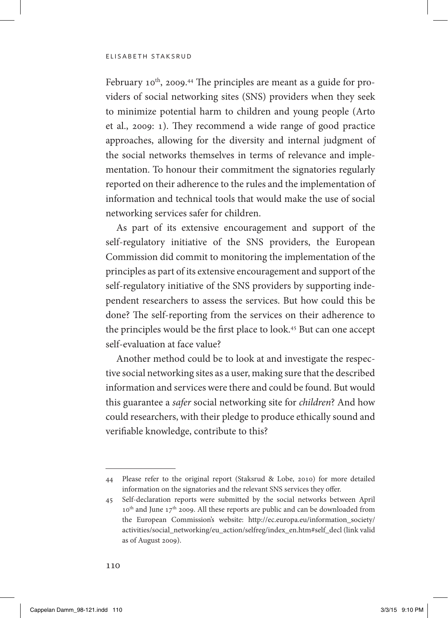February 10th, 2009. 44 The principles are meant as a guide for providers of social networking sites (SNS) providers when they seek to minimize potential harm to children and young people (Arto et al., 2009: 1). They recommend a wide range of good practice approaches, allowing for the diversity and internal judgment of the social networks themselves in terms of relevance and implementation. To honour their commitment the signatories regularly reported on their adherence to the rules and the implementation of information and technical tools that would make the use of social networking services safer for children.

As part of its extensive encouragement and support of the self-regulatory initiative of the SNS providers, the European Commission did commit to monitoring the implementation of the principles as part of its extensive encouragement and support of the self-regulatory initiative of the SNS providers by supporting independent researchers to assess the services. But how could this be done? The self-reporting from the services on their adherence to the principles would be the first place to look.<sup>45</sup> But can one accept self-evaluation at face value?

Another method could be to look at and investigate the respective social networking sites as a user, making sure that the described information and services were there and could be found. But would this guarantee a *safer* social networking site for *children*? And how could researchers, with their pledge to produce ethically sound and verifiable knowledge, contribute to this?

<sup>44</sup> Please refer to the original report (Staksrud & Lobe, 2010) for more detailed information on the signatories and the relevant SNS services they offer.

<sup>45</sup> Self-declaration reports were submitted by the social networks between April 10<sup>th</sup> and June 17<sup>th</sup> 2009. All these reports are public and can be downloaded from the European Commission's website: http://ec.europa.eu/information\_society/ activities/social\_networking/eu\_action/selfreg/index\_en.htm#self\_decl (link valid as of August 2009).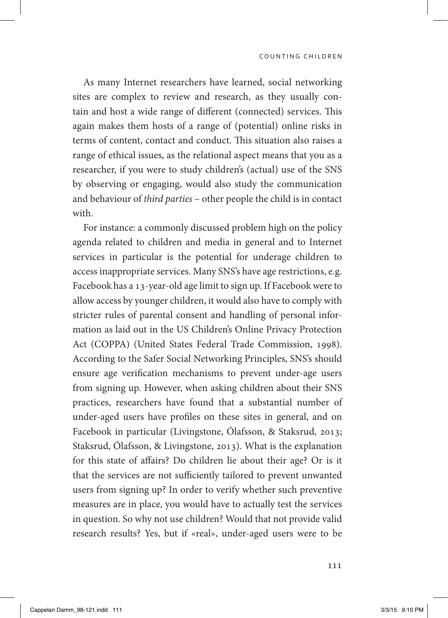As many Internet researchers have learned, social networking sites are complex to review and research, as they usually contain and host a wide range of different (connected) services. This again makes them hosts of a range of (potential) online risks in terms of content, contact and conduct. This situation also raises a range of ethical issues, as the relational aspect means that you as a researcher, if you were to study children's (actual) use of the SNS by observing or engaging, would also study the communication and behaviour of *third parties* – other people the child is in contact with.

For instance: a commonly discussed problem high on the policy agenda related to children and media in general and to Internet services in particular is the potential for underage children to access inappropriate services. Many SNS's have age restrictions, e.g. Facebook has a 13-year-old age limit to sign up. If Facebook were to allow access by younger children, it would also have to comply with stricter rules of parental consent and handling of personal information as laid out in the US Children's Online Privacy Protection Act (COPPA) (United States Federal Trade Commission, 1998). According to the Safer Social Networking Principles, SNS's should ensure age verification mechanisms to prevent under-age users from signing up. However, when asking children about their SNS practices, researchers have found that a substantial number of under-aged users have profiles on these sites in general, and on Facebook in particular (Livingstone, Ólafsson, & Staksrud, 2013; Staksrud, Ólafsson, & Livingstone, 2013). What is the explanation for this state of affairs? Do children lie about their age? Or is it that the services are not sufficiently tailored to prevent unwanted users from signing up? In order to verify whether such preventive measures are in place, you would have to actually test the services in question. So why not use children? Would that not provide valid research results? Yes, but if «real», under-aged users were to be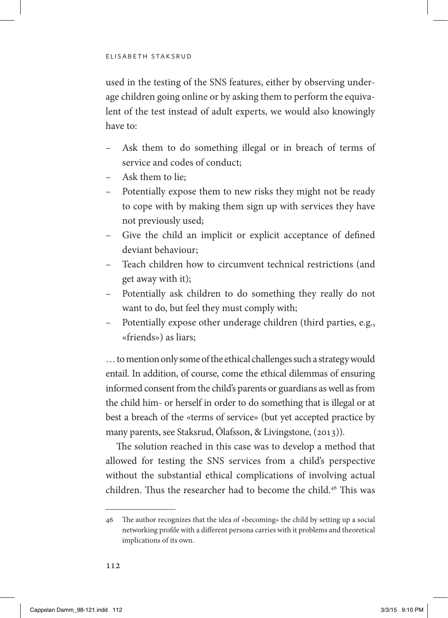used in the testing of the SNS features, either by observing underage children going online or by asking them to perform the equivalent of the test instead of adult experts, we would also knowingly have to:

- Ask them to do something illegal or in breach of terms of service and codes of conduct;
- Ask them to lie;
- Potentially expose them to new risks they might not be ready to cope with by making them sign up with services they have not previously used;
- Give the child an implicit or explicit acceptance of defined deviant behaviour;
- Teach children how to circumvent technical restrictions (and get away with it);
- Potentially ask children to do something they really do not want to do, but feel they must comply with;
- Potentially expose other underage children (third parties, e.g., «friends») as liars;

… to mention only some of the ethical challenges such a strategy would entail. In addition, of course, come the ethical dilemmas of ensuring informed consent from the child's parents or guardians as well as from the child him- or herself in order to do something that is illegal or at best a breach of the «terms of service» (but yet accepted practice by many parents, see Staksrud, Ólafsson, & Livingstone, (2013)).

The solution reached in this case was to develop a method that allowed for testing the SNS services from a child's perspective without the substantial ethical complications of involving actual children. Thus the researcher had to become the child.46 This was

<sup>46</sup> The author recognizes that the idea of «becoming» the child by setting up a social networking profile with a different persona carries with it problems and theoretical implications of its own.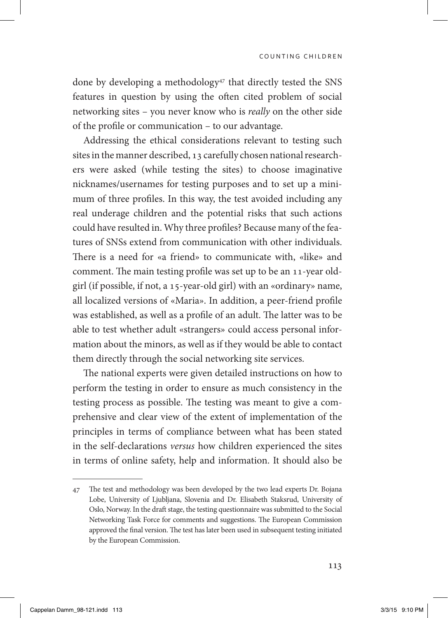done by developing a methodology<sup>47</sup> that directly tested the SNS features in question by using the often cited problem of social networking sites – you never know who is *really* on the other side of the profile or communication – to our advantage.

Addressing the ethical considerations relevant to testing such sites in the manner described, 13 carefully chosen national researchers were asked (while testing the sites) to choose imaginative nicknames/usernames for testing purposes and to set up a minimum of three profiles. In this way, the test avoided including any real underage children and the potential risks that such actions could have resulted in. Why three profiles? Because many of the features of SNSs extend from communication with other individuals. There is a need for «a friend» to communicate with, «like» and comment. The main testing profile was set up to be an 11-year oldgirl (if possible, if not, a 15-year-old girl) with an «ordinary» name, all localized versions of «Maria». In addition, a peer-friend profile was established, as well as a profile of an adult. The latter was to be able to test whether adult «strangers» could access personal information about the minors, as well as if they would be able to contact them directly through the social networking site services.

The national experts were given detailed instructions on how to perform the testing in order to ensure as much consistency in the testing process as possible. The testing was meant to give a comprehensive and clear view of the extent of implementation of the principles in terms of compliance between what has been stated in the self-declarations *versus* how children experienced the sites in terms of online safety, help and information. It should also be

<sup>47</sup> The test and methodology was been developed by the two lead experts Dr. Bojana Lobe, University of Ljubljana, Slovenia and Dr. Elisabeth Staksrud, University of Oslo, Norway. In the draft stage, the testing questionnaire was submitted to the Social Networking Task Force for comments and suggestions. The European Commission approved the final version. The test has later been used in subsequent testing initiated by the European Commission.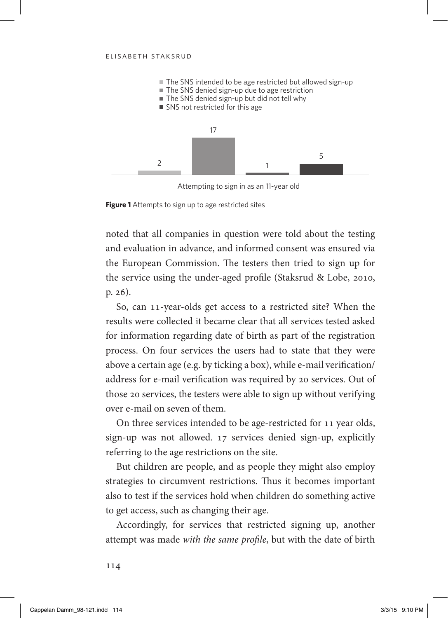#### elisabeth staksrud



Attempting to sign in as an 11-year old

**Figure 1** Attempts to sign up to age restricted sites

noted that all companies in question were told about the testing and evaluation in advance, and informed consent was ensured via the European Commission. The testers then tried to sign up for the service using the under-aged profile (Staksrud & Lobe, 2010, p. 26).

So, can 11-year-olds get access to a restricted site? When the results were collected it became clear that all services tested asked for information regarding date of birth as part of the registration process. On four services the users had to state that they were above a certain age (e.g. by ticking a box), while e-mail verification/ address for e-mail verification was required by 20 services. Out of those 20 services, the testers were able to sign up without verifying over e-mail on seven of them.

On three services intended to be age-restricted for 11 year olds, sign-up was not allowed. 17 services denied sign-up, explicitly referring to the age restrictions on the site.

But children are people, and as people they might also employ strategies to circumvent restrictions. Thus it becomes important also to test if the services hold when children do something active to get access, such as changing their age.

Accordingly, for services that restricted signing up, another attempt was made *with the same profile*, but with the date of birth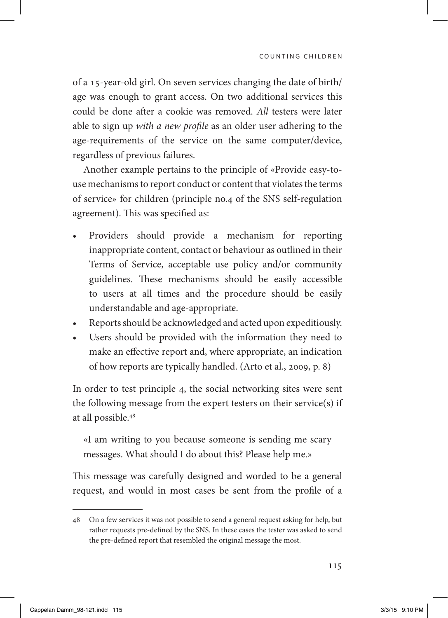of a 15-year-old girl. On seven services changing the date of birth/ age was enough to grant access. On two additional services this could be done after a cookie was removed. *All* testers were later able to sign up *with a new profile* as an older user adhering to the age-requirements of the service on the same computer/device, regardless of previous failures.

Another example pertains to the principle of «Provide easy-touse mechanisms to report conduct or content that violates the terms of service» for children (principle no.4 of the SNS self-regulation agreement). This was specified as:

- Providers should provide a mechanism for reporting inappropriate content, contact or behaviour as outlined in their Terms of Service, acceptable use policy and/or community guidelines. These mechanisms should be easily accessible to users at all times and the procedure should be easily understandable and age-appropriate.
- Reports should be acknowledged and acted upon expeditiously.
- • Users should be provided with the information they need to make an effective report and, where appropriate, an indication of how reports are typically handled. (Arto et al., 2009, p. 8)

In order to test principle 4, the social networking sites were sent the following message from the expert testers on their service(s) if at all possible.48

«I am writing to you because someone is sending me scary messages. What should I do about this? Please help me.»

This message was carefully designed and worded to be a general request, and would in most cases be sent from the profile of a

<sup>48</sup> On a few services it was not possible to send a general request asking for help, but rather requests pre-defined by the SNS. In these cases the tester was asked to send the pre-defined report that resembled the original message the most.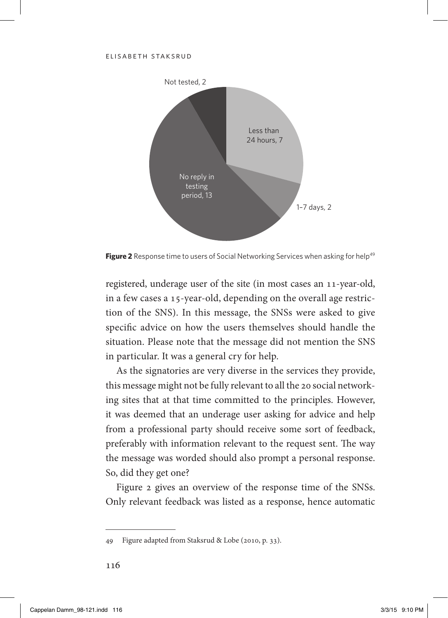

Figure 2 Response time to users of Social Networking Services when asking for help<sup>49</sup>

registered, underage user of the site (in most cases an 11-year-old, in a few cases a 15-year-old, depending on the overall age restriction of the SNS). In this message, the SNSs were asked to give specific advice on how the users themselves should handle the situation. Please note that the message did not mention the SNS in particular. It was a general cry for help.

As the signatories are very diverse in the services they provide, this message might not be fully relevant to all the 20 social networking sites that at that time committed to the principles. However, it was deemed that an underage user asking for advice and help from a professional party should receive some sort of feedback, preferably with information relevant to the request sent. The way the message was worded should also prompt a personal response. So, did they get one?

Figure 2 gives an overview of the response time of the SNSs. Only relevant feedback was listed as a response, hence automatic

<sup>49</sup> Figure adapted from Staksrud & Lobe (2010, p. 33).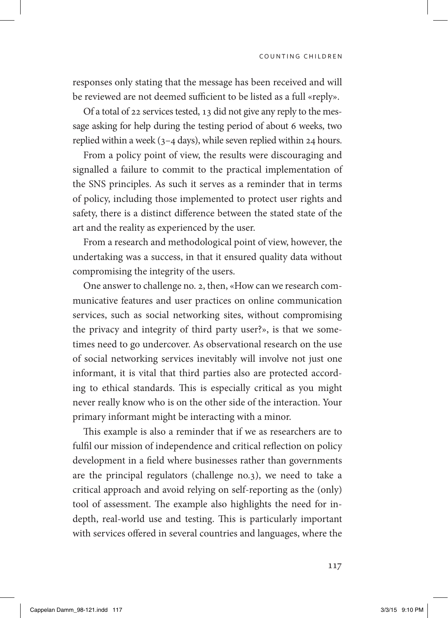responses only stating that the message has been received and will be reviewed are not deemed sufficient to be listed as a full «reply».

Of a total of 22 services tested, 13 did not give any reply to the message asking for help during the testing period of about 6 weeks, two replied within a week (3–4 days), while seven replied within 24 hours.

From a policy point of view, the results were discouraging and signalled a failure to commit to the practical implementation of the SNS principles. As such it serves as a reminder that in terms of policy, including those implemented to protect user rights and safety, there is a distinct difference between the stated state of the art and the reality as experienced by the user.

From a research and methodological point of view, however, the undertaking was a success, in that it ensured quality data without compromising the integrity of the users.

One answer to challenge no. 2, then, «How can we research communicative features and user practices on online communication services, such as social networking sites, without compromising the privacy and integrity of third party user?», is that we sometimes need to go undercover. As observational research on the use of social networking services inevitably will involve not just one informant, it is vital that third parties also are protected according to ethical standards. This is especially critical as you might never really know who is on the other side of the interaction. Your primary informant might be interacting with a minor.

This example is also a reminder that if we as researchers are to fulfil our mission of independence and critical reflection on policy development in a field where businesses rather than governments are the principal regulators (challenge no.3), we need to take a critical approach and avoid relying on self-reporting as the (only) tool of assessment. The example also highlights the need for indepth, real-world use and testing. This is particularly important with services offered in several countries and languages, where the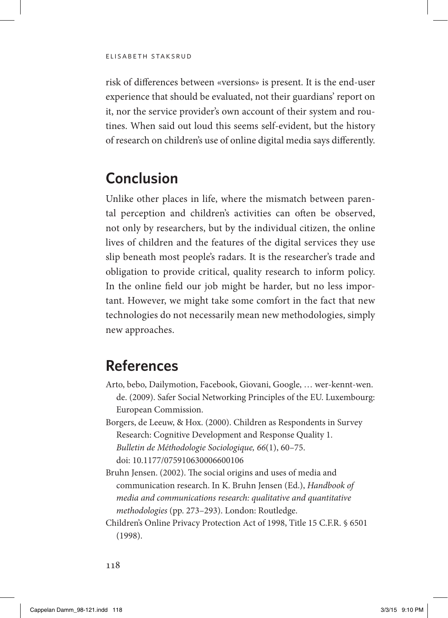risk of differences between «versions» is present. It is the end-user experience that should be evaluated, not their guardians' report on it, nor the service provider's own account of their system and routines. When said out loud this seems self-evident, but the history of research on children's use of online digital media says differently.

## **Conclusion**

Unlike other places in life, where the mismatch between parental perception and children's activities can often be observed, not only by researchers, but by the individual citizen, the online lives of children and the features of the digital services they use slip beneath most people's radars. It is the researcher's trade and obligation to provide critical, quality research to inform policy. In the online field our job might be harder, but no less important. However, we might take some comfort in the fact that new technologies do not necessarily mean new methodologies, simply new approaches.

## **References**

- Arto, bebo, Dailymotion, Facebook, Giovani, Google, … wer-kennt-wen. de. (2009). Safer Social Networking Principles of the EU. Luxembourg: European Commission.
- Borgers, de Leeuw, & Hox. (2000). Children as Respondents in Survey Research: Cognitive Development and Response Quality 1. *Bulletin de Méthodologie Sociologique, 66*(1), 60–75. [doi: 10.1177/075910630006600106](doi:10.1177/075910630006600106)
- Bruhn Jensen. (2002). The social origins and uses of media and communication research. In K. Bruhn Jensen (Ed.), *Handbook of media and communications research: qualitative and quantitative methodologies* (pp. 273–293). London: Routledge.
- Children's Online Privacy Protection Act of 1998, Title 15 C.F.R. § 6501 (1998).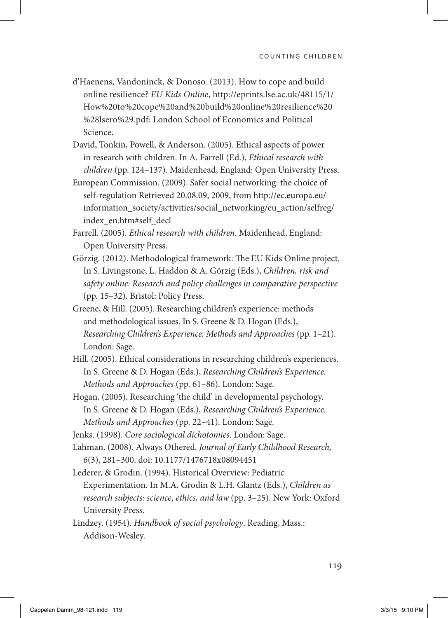- d'Haenens, Vandoninck, & Donoso. (2013). How to cope and build online resilience? *EU Kids Online*, [http://eprints.lse.ac.uk/48115/1/](http://eprints.lse.ac.uk/48115/1/How%20to%20cope%20and%20build%20online%20resilience%20%28lsero%29.pdf) [How%20to%20cope%20and%20build%20online%20resilience%20](http://eprints.lse.ac.uk/48115/1/How%20to%20cope%20and%20build%20online%20resilience%20%28lsero%29.pdf) [%28lsero%29.pdf](http://eprints.lse.ac.uk/48115/1/How%20to%20cope%20and%20build%20online%20resilience%20%28lsero%29.pdf): London School of Economics and Political Science.
- David, Tonkin, Powell, & Anderson. (2005). Ethical aspects of power in research with children. In A. Farrell (Ed.), *Ethical research with children* (pp. 124–137). Maidenhead, England: Open University Press.
- European Commission. (2009). Safer social networking: the choice of self-regulation Retrieved 20.08.09, 2009, from [http://ec.europa.eu/](http://ec.europa.eu/information_society/activities/social_networking/eu_action/selfreg/index_en.htm#self_decl) [information\\_society/activities/social\\_networking/eu\\_action/selfreg/](http://ec.europa.eu/information_society/activities/social_networking/eu_action/selfreg/index_en.htm#self_decl) [index\\_en.htm#self\\_decl](http://ec.europa.eu/information_society/activities/social_networking/eu_action/selfreg/index_en.htm#self_decl)
- Farrell. (2005). *Ethical research with children*. Maidenhead, England: Open University Press.
- Görzig. (2012). Methodological framework: The EU Kids Online project. In S. Livingstone, L. Haddon & A. Görzig (Eds.), *Children, risk and safety online: Research and policy challenges in comparative perspective* (pp. 15–32). Bristol: Policy Press.
- Greene, & Hill. (2005). Researching children's experience: methods and methodological issues. In S. Greene & D. Hogan (Eds.), *Researching Children's Experience. Methods and Approaches* (pp. 1–21). London: Sage.
- Hill. (2005). Ethical considerations in researching children's experiences. In S. Greene & D. Hogan (Eds.), *Researching Children's Experience. Methods and Approaches* (pp. 61–86). London: Sage.
- Hogan. (2005). Researching 'the child' in developmental psychology. In S. Greene & D. Hogan (Eds.), *Researching Children's Experience. Methods and Approaches* (pp. 22–41). London: Sage.
- Jenks. (1998). *Core sociological dichotomies*. London: Sage.
- Lahman. (2008). Always Othered. *Journal of Early Childhood Research, 6*(3), 281–300. doi: 10.1177/1476718x08094451
- Lederer, & Grodin. (1994). Historical Overview: Pediatric Experimentation. In M.A. Grodin & L.H. Glantz (Eds.), *Children as research subjects: science, ethics, and law* (pp. 3–25). New York: Oxford University Press.
- Lindzey. (1954). *Handbook of social psychology*. Reading, Mass.: Addison-Wesley.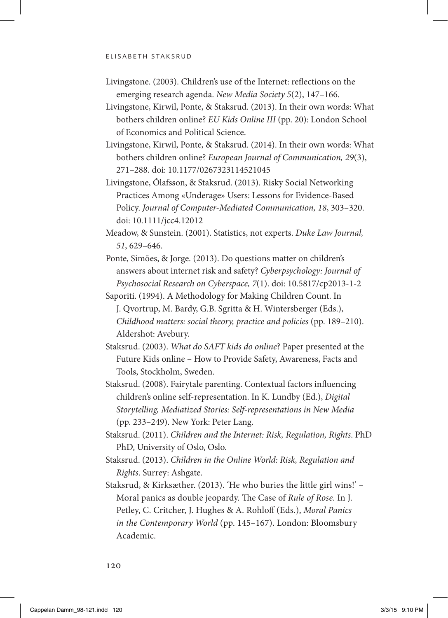- Livingstone. (2003). Children's use of the Internet: reflections on the emerging research agenda. *New Media Society 5*(2), 147–166.
- Livingstone, Kirwil, Ponte, & Staksrud. (2013). In their own words: What bothers children online? *EU Kids Online III* (pp. 20): London School of Economics and Political Science.
- Livingstone, Kirwil, Ponte, & Staksrud. (2014). In their own words: What bothers children online? *European Journal of Communication, 29*(3), 271–288. [doi: 10.1177/0267323114521045](doi:10.1177/0267323114521045)
- Livingstone, Ólafsson, & Staksrud. (2013). Risky Social Networking Practices Among «Underage» Users: Lessons for Evidence-Based Policy. *Journal of Computer-Mediated Communication, 18*, 303–320. doi: 10.1111/jcc4.12012
- Meadow, & Sunstein. (2001). Statistics, not experts. *Duke Law Journal, 51*, 629–646.
- Ponte, Simões, & Jorge. (2013). Do questions matter on children's answers about internet risk and safety? *Cyberpsychology: Journal of Psychosocial Research on Cyberspace, 7*(1). [doi: 10.5817/cp2013-1-2](doi:10.5817/cp2013-1-2)
- Saporiti. (1994). A Methodology for Making Children Count. In J. Qvortrup, M. Bardy, G.B. Sgritta & H. Wintersberger (Eds.), *Childhood matters: social theory, practice and policies* (pp. 189–210). Aldershot: Avebury.
- Staksrud. (2003). *What do SAFT kids do online*? Paper presented at the Future Kids online – How to Provide Safety, Awareness, Facts and Tools, Stockholm, Sweden.
- Staksrud. (2008). Fairytale parenting. Contextual factors influencing children's online self-representation. In K. Lundby (Ed.), *Digital Storytelling, Mediatized Stories: Self-representations in New Media* (pp. 233–249). New York: Peter Lang.
- Staksrud. (2011). *Children and the Internet: Risk, Regulation, Rights*. PhD PhD, University of Oslo, Oslo.
- Staksrud. (2013). *Children in the Online World: Risk, Regulation and Rights*. Surrey: Ashgate.
- Staksrud, & Kirksæther. (2013). 'He who buries the little girl wins!' Moral panics as double jeopardy. The Case of *Rule of Rose*. In J. Petley, C. Critcher, J. Hughes & A. Rohloff (Eds.), *Moral Panics in the Contemporary World* (pp. 145–167). London: Bloomsbury Academic.